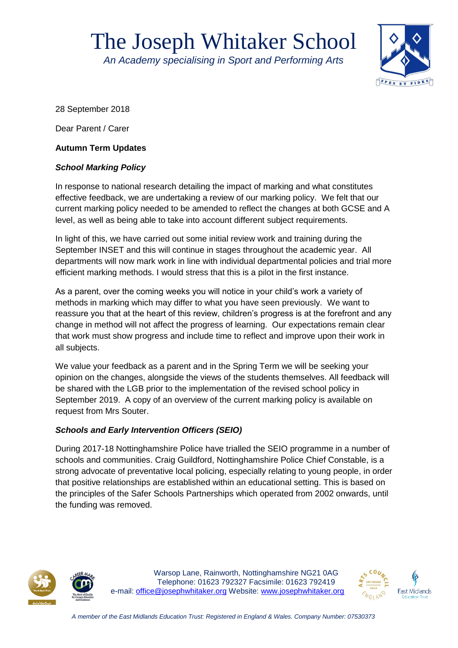# The Joseph Whitaker School

*An Academy specialising in Sport and Performing Arts*



28 September 2018

Dear Parent / Carer

## **Autumn Term Updates**

# *School Marking Policy*

In response to national research detailing the impact of marking and what constitutes effective feedback, we are undertaking a review of our marking policy. We felt that our current marking policy needed to be amended to reflect the changes at both GCSE and A level, as well as being able to take into account different subject requirements.

In light of this, we have carried out some initial review work and training during the September INSET and this will continue in stages throughout the academic year. All departments will now mark work in line with individual departmental policies and trial more efficient marking methods. I would stress that this is a pilot in the first instance.

As a parent, over the coming weeks you will notice in your child's work a variety of methods in marking which may differ to what you have seen previously. We want to reassure you that at the heart of this review, children's progress is at the forefront and any change in method will not affect the progress of learning. Our expectations remain clear that work must show progress and include time to reflect and improve upon their work in all subjects.

We value your feedback as a parent and in the Spring Term we will be seeking your opinion on the changes, alongside the views of the students themselves. All feedback will be shared with the LGB prior to the implementation of the revised school policy in September 2019. A copy of an overview of the current marking policy is available on request from Mrs Souter.

# *Schools and Early Intervention Officers (SEIO)*

During 2017-18 Nottinghamshire Police have trialled the SEIO programme in a number of schools and communities. Craig Guildford, Nottinghamshire Police Chief Constable, is a strong advocate of preventative local policing, especially relating to young people, in order that positive relationships are established within an educational setting. This is based on the principles of the Safer Schools Partnerships which operated from 2002 onwards, until the funding was removed.



Warsop Lane, Rainworth, Nottinghamshire NG21 0AG Telephone: 01623 792327 Facsimile: 01623 792419 e-mail: [office@josephwhitaker.org](mailto:office@josephwhitaker.org) Website: [www.josephwhitaker.org](http://www.josephwhitaker.org/)